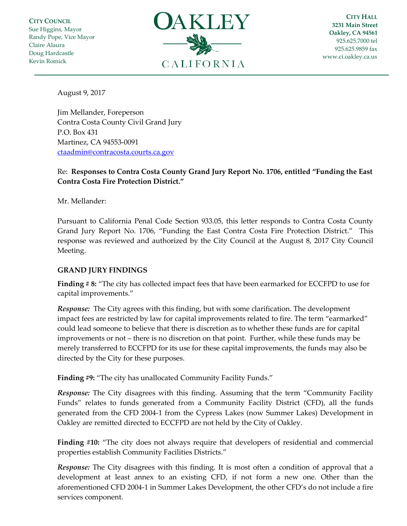**CITY COUNCIL** Sue Higgins, Mayor Randy Pope, Vice Mayor Claire Alaura Doug Hardcastle Kevin Romick



**CITY HALL 3231 Main Street Oakley, CA 94561** 925.625.7000 tel 925.625.9859 fax [www.ci.oakley.ca.us](http://www.ci.oakley.ca.us/)

August 9, 2017

Jim Mellander, Foreperson Contra Costa County Civil Grand Jury P.O. Box 431 Martinez, CA 94553-0091 [ctaadmin@contracosta.courts.ca.gov](mailto:ctaadmin@contracosta.courts.ca.gov)

## Re: **Responses to Contra Costa County Grand Jury Report No. 1706, entitled "Funding the East Contra Costa Fire Protection District."**

Mr. Mellander:

Pursuant to California Penal Code Section 933.05, this letter responds to Contra Costa County Grand Jury Report No. 1706, "Funding the East Contra Costa Fire Protection District." This response was reviewed and authorized by the City Council at the August 8, 2017 City Council Meeting.

## **GRAND JURY FINDINGS**

**Finding # 8:** "The city has collected impact fees that have been earmarked for ECCFPD to use for capital improvements."

*Response:* The City agrees with this finding, but with some clarification. The development impact fees are restricted by law for capital improvements related to fire. The term "earmarked" could lead someone to believe that there is discretion as to whether these funds are for capital improvements or not – there is no discretion on that point. Further, while these funds may be merely transferred to ECCFPD for its use for these capital improvements, the funds may also be directed by the City for these purposes.

**Finding #9:** "The city has unallocated Community Facility Funds."

*Response:* The City disagrees with this finding. Assuming that the term "Community Facility Funds" relates to funds generated from a Community Facility District (CFD), all the funds generated from the CFD 2004-1 from the Cypress Lakes (now Summer Lakes) Development in Oakley are remitted directed to ECCFPD are not held by the City of Oakley.

**Finding #10:** "The city does not always require that developers of residential and commercial properties establish Community Facilities Districts."

*Response:* The City disagrees with this finding. It is most often a condition of approval that a development at least annex to an existing CFD, if not form a new one. Other than the aforementioned CFD 2004-1 in Summer Lakes Development, the other CFD's do not include a fire services component.